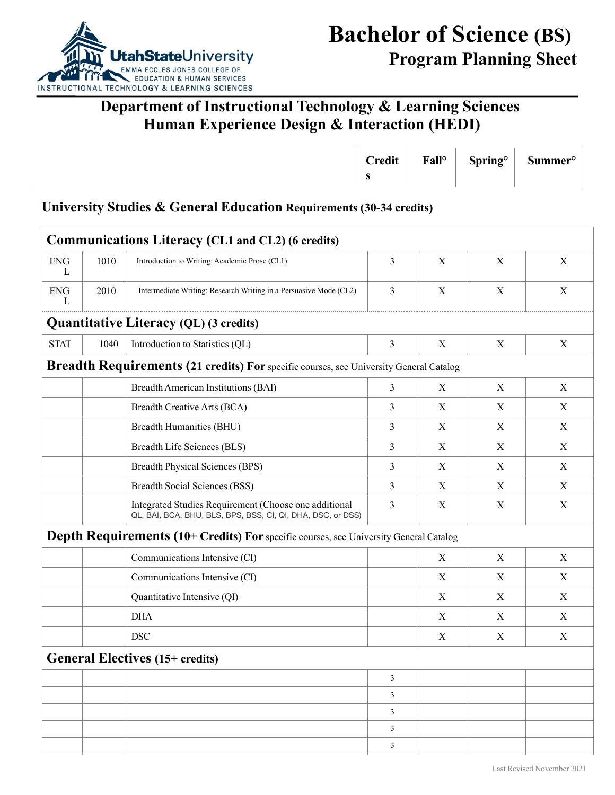

## **Department of Instructional Technology & Learning Sciences Human Experience Design & Interaction (HEDI)**

| <b>Credit</b> | Fall <sup>o</sup> | <b>Spring</b> <sup>o</sup> | $\sim$<br>Summer <sup>o</sup> |  |
|---------------|-------------------|----------------------------|-------------------------------|--|
| ◡             |                   |                            |                               |  |

#### **University Studies & General Education Requirements (30-34 credits)**

| <b>ENG</b><br>1010<br>3<br>$\mathbf X$<br>Introduction to Writing: Academic Prose (CL1)<br>X<br>X<br>L<br>3<br>$\mathbf X$<br>$\mathbf X$<br>$\mathbf X$<br><b>ENG</b><br>2010<br>Intermediate Writing: Research Writing in a Persuasive Mode (CL2)<br>L<br><b>Quantitative Literacy (QL) (3 credits)</b><br><b>STAT</b><br>3<br>1040<br>Introduction to Statistics (QL)<br>X<br>X<br>X<br>Breadth Requirements (21 credits) For specific courses, see University General Catalog<br><b>Breadth American Institutions (BAI)</b><br>3<br>$\mathbf X$<br>X<br>X<br>3<br><b>Breadth Creative Arts (BCA)</b><br>X<br>X<br>X<br>3<br>Breadth Humanities (BHU)<br>X<br>X<br>X<br>3<br>Breadth Life Sciences (BLS)<br>X<br>X<br>X<br><b>Breadth Physical Sciences (BPS)</b><br>3<br>$\mathbf X$<br>$\mathbf X$<br>X<br><b>Breadth Social Sciences (BSS)</b><br>3<br>X<br>X<br>X<br>Integrated Studies Requirement (Choose one additional<br>3<br>X<br>X<br>X<br>QL, BAI, BCA, BHU, BLS, BPS, BSS, CI, QI, DHA, DSC, or DSS)<br>Depth Requirements (10+ Credits) For specific courses, see University General Catalog<br>Communications Intensive (CI)<br>$\mathbf X$<br>X<br>X<br>Communications Intensive (CI)<br>X<br>X<br>X<br>Quantitative Intensive (QI)<br>X<br>X<br>X<br><b>DHA</b><br>X<br>X<br>X<br><b>DSC</b><br>X<br>X<br>X<br><b>General Electives (15+ credits)</b><br>$\overline{\mathbf{3}}$<br>$\mathbf{3}$<br>$\mathbf{3}$<br>$\mathbf{3}$ |  | <b>Communications Literacy (CL1 and CL2) (6 credits)</b> |  |  |
|------------------------------------------------------------------------------------------------------------------------------------------------------------------------------------------------------------------------------------------------------------------------------------------------------------------------------------------------------------------------------------------------------------------------------------------------------------------------------------------------------------------------------------------------------------------------------------------------------------------------------------------------------------------------------------------------------------------------------------------------------------------------------------------------------------------------------------------------------------------------------------------------------------------------------------------------------------------------------------------------------------------------------------------------------------------------------------------------------------------------------------------------------------------------------------------------------------------------------------------------------------------------------------------------------------------------------------------------------------------------------------------------------------------------------------------------------|--|----------------------------------------------------------|--|--|
|                                                                                                                                                                                                                                                                                                                                                                                                                                                                                                                                                                                                                                                                                                                                                                                                                                                                                                                                                                                                                                                                                                                                                                                                                                                                                                                                                                                                                                                      |  |                                                          |  |  |
|                                                                                                                                                                                                                                                                                                                                                                                                                                                                                                                                                                                                                                                                                                                                                                                                                                                                                                                                                                                                                                                                                                                                                                                                                                                                                                                                                                                                                                                      |  |                                                          |  |  |
|                                                                                                                                                                                                                                                                                                                                                                                                                                                                                                                                                                                                                                                                                                                                                                                                                                                                                                                                                                                                                                                                                                                                                                                                                                                                                                                                                                                                                                                      |  |                                                          |  |  |
|                                                                                                                                                                                                                                                                                                                                                                                                                                                                                                                                                                                                                                                                                                                                                                                                                                                                                                                                                                                                                                                                                                                                                                                                                                                                                                                                                                                                                                                      |  |                                                          |  |  |
|                                                                                                                                                                                                                                                                                                                                                                                                                                                                                                                                                                                                                                                                                                                                                                                                                                                                                                                                                                                                                                                                                                                                                                                                                                                                                                                                                                                                                                                      |  |                                                          |  |  |
|                                                                                                                                                                                                                                                                                                                                                                                                                                                                                                                                                                                                                                                                                                                                                                                                                                                                                                                                                                                                                                                                                                                                                                                                                                                                                                                                                                                                                                                      |  |                                                          |  |  |
|                                                                                                                                                                                                                                                                                                                                                                                                                                                                                                                                                                                                                                                                                                                                                                                                                                                                                                                                                                                                                                                                                                                                                                                                                                                                                                                                                                                                                                                      |  |                                                          |  |  |
|                                                                                                                                                                                                                                                                                                                                                                                                                                                                                                                                                                                                                                                                                                                                                                                                                                                                                                                                                                                                                                                                                                                                                                                                                                                                                                                                                                                                                                                      |  |                                                          |  |  |
|                                                                                                                                                                                                                                                                                                                                                                                                                                                                                                                                                                                                                                                                                                                                                                                                                                                                                                                                                                                                                                                                                                                                                                                                                                                                                                                                                                                                                                                      |  |                                                          |  |  |
|                                                                                                                                                                                                                                                                                                                                                                                                                                                                                                                                                                                                                                                                                                                                                                                                                                                                                                                                                                                                                                                                                                                                                                                                                                                                                                                                                                                                                                                      |  |                                                          |  |  |
|                                                                                                                                                                                                                                                                                                                                                                                                                                                                                                                                                                                                                                                                                                                                                                                                                                                                                                                                                                                                                                                                                                                                                                                                                                                                                                                                                                                                                                                      |  |                                                          |  |  |
|                                                                                                                                                                                                                                                                                                                                                                                                                                                                                                                                                                                                                                                                                                                                                                                                                                                                                                                                                                                                                                                                                                                                                                                                                                                                                                                                                                                                                                                      |  |                                                          |  |  |
|                                                                                                                                                                                                                                                                                                                                                                                                                                                                                                                                                                                                                                                                                                                                                                                                                                                                                                                                                                                                                                                                                                                                                                                                                                                                                                                                                                                                                                                      |  |                                                          |  |  |
|                                                                                                                                                                                                                                                                                                                                                                                                                                                                                                                                                                                                                                                                                                                                                                                                                                                                                                                                                                                                                                                                                                                                                                                                                                                                                                                                                                                                                                                      |  |                                                          |  |  |
|                                                                                                                                                                                                                                                                                                                                                                                                                                                                                                                                                                                                                                                                                                                                                                                                                                                                                                                                                                                                                                                                                                                                                                                                                                                                                                                                                                                                                                                      |  |                                                          |  |  |
|                                                                                                                                                                                                                                                                                                                                                                                                                                                                                                                                                                                                                                                                                                                                                                                                                                                                                                                                                                                                                                                                                                                                                                                                                                                                                                                                                                                                                                                      |  |                                                          |  |  |
|                                                                                                                                                                                                                                                                                                                                                                                                                                                                                                                                                                                                                                                                                                                                                                                                                                                                                                                                                                                                                                                                                                                                                                                                                                                                                                                                                                                                                                                      |  |                                                          |  |  |
|                                                                                                                                                                                                                                                                                                                                                                                                                                                                                                                                                                                                                                                                                                                                                                                                                                                                                                                                                                                                                                                                                                                                                                                                                                                                                                                                                                                                                                                      |  |                                                          |  |  |
|                                                                                                                                                                                                                                                                                                                                                                                                                                                                                                                                                                                                                                                                                                                                                                                                                                                                                                                                                                                                                                                                                                                                                                                                                                                                                                                                                                                                                                                      |  |                                                          |  |  |
|                                                                                                                                                                                                                                                                                                                                                                                                                                                                                                                                                                                                                                                                                                                                                                                                                                                                                                                                                                                                                                                                                                                                                                                                                                                                                                                                                                                                                                                      |  |                                                          |  |  |
|                                                                                                                                                                                                                                                                                                                                                                                                                                                                                                                                                                                                                                                                                                                                                                                                                                                                                                                                                                                                                                                                                                                                                                                                                                                                                                                                                                                                                                                      |  |                                                          |  |  |
|                                                                                                                                                                                                                                                                                                                                                                                                                                                                                                                                                                                                                                                                                                                                                                                                                                                                                                                                                                                                                                                                                                                                                                                                                                                                                                                                                                                                                                                      |  |                                                          |  |  |
| 3                                                                                                                                                                                                                                                                                                                                                                                                                                                                                                                                                                                                                                                                                                                                                                                                                                                                                                                                                                                                                                                                                                                                                                                                                                                                                                                                                                                                                                                    |  |                                                          |  |  |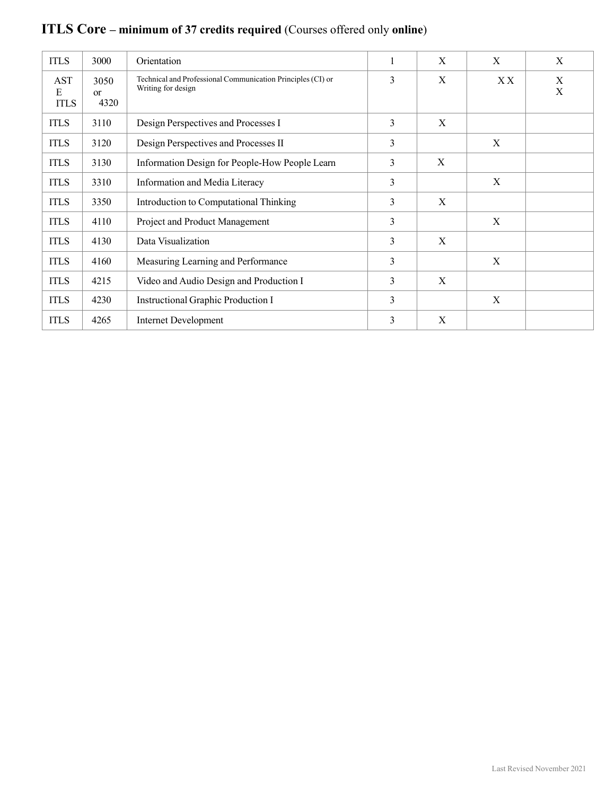| <b>ITLS</b>                    | 3000                          | Orientation                                                                                 |   | X           | $\mathbf X$        | X |
|--------------------------------|-------------------------------|---------------------------------------------------------------------------------------------|---|-------------|--------------------|---|
| <b>AST</b><br>Е<br><b>ITLS</b> | 3050<br><sub>or</sub><br>4320 | Technical and Professional Communication Principles (CI) or<br>3<br>X<br>Writing for design |   | X X         | $_{\rm X}^{\rm X}$ |   |
| <b>ITLS</b>                    | 3110                          | Design Perspectives and Processes I                                                         | 3 | X           |                    |   |
| <b>ITLS</b>                    | 3120                          | Design Perspectives and Processes II                                                        | 3 |             | X                  |   |
| <b>ITLS</b>                    | 3130                          | Information Design for People-How People Learn                                              | 3 | X           |                    |   |
| <b>ITLS</b>                    | 3310                          | Information and Media Literacy                                                              | 3 | $\mathbf X$ |                    |   |
| <b>ITLS</b>                    | 3350                          | Introduction to Computational Thinking                                                      | 3 | X           |                    |   |
| <b>ITLS</b>                    | 4110                          | Project and Product Management                                                              | 3 |             | X                  |   |
| <b>ITLS</b>                    | 4130                          | Data Visualization                                                                          | 3 | X           |                    |   |
| <b>ITLS</b>                    | 4160                          | Measuring Learning and Performance                                                          | 3 |             | X                  |   |
| <b>ITLS</b>                    | 4215                          | Video and Audio Design and Production I                                                     | 3 | X           |                    |   |
| <b>ITLS</b>                    | 4230                          | Instructional Graphic Production I                                                          | 3 |             | $\mathbf X$        |   |
| <b>ITLS</b>                    | 4265                          | <b>Internet Development</b>                                                                 | 3 | X           |                    |   |

# **ITLS Core – minimum of 37 credits required** (Courses offered only **online**)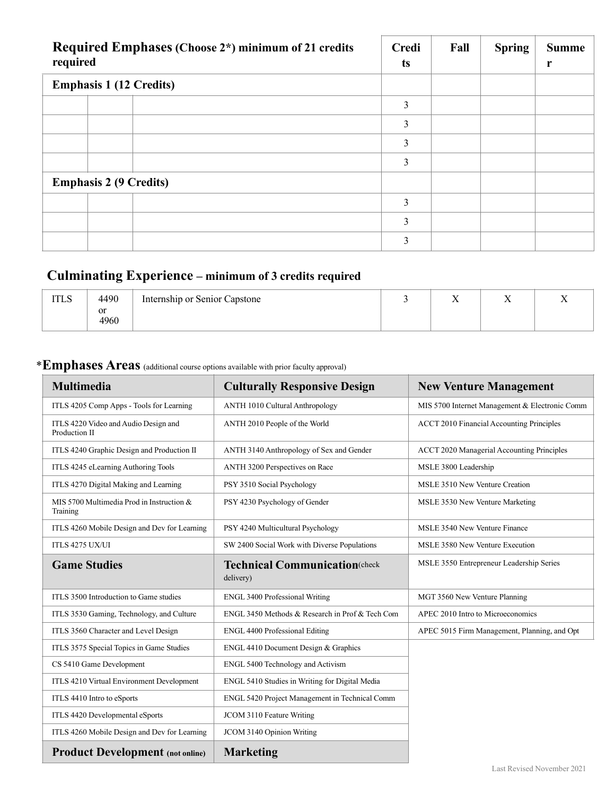| Required Emphases (Choose 2*) minimum of 21 credits<br>required |                                |  | <b>Credi</b><br>ts | Fall | <b>Spring</b> | <b>Summe</b><br>r |
|-----------------------------------------------------------------|--------------------------------|--|--------------------|------|---------------|-------------------|
|                                                                 | <b>Emphasis 1 (12 Credits)</b> |  |                    |      |               |                   |
|                                                                 |                                |  | 3                  |      |               |                   |
|                                                                 |                                |  | 3                  |      |               |                   |
|                                                                 |                                |  | 3                  |      |               |                   |
|                                                                 |                                |  | 3                  |      |               |                   |
|                                                                 | <b>Emphasis 2 (9 Credits)</b>  |  |                    |      |               |                   |
|                                                                 |                                |  | 3                  |      |               |                   |
|                                                                 |                                |  | 3                  |      |               |                   |
|                                                                 |                                |  | 3                  |      |               |                   |

## **Culminating Experience – minimum of 3 credits required**

| <b>ITLS</b> | 4490       | Internship or Senior Capstone | - -<br>$\overline{ }$ | . . |  |
|-------------|------------|-------------------------------|-----------------------|-----|--|
|             | or<br>4960 |                               |                       |     |  |

### \***Emphases Areas** (additional course options available with prior faculty approval)

| <b>Multimedia</b>                                     | <b>Culturally Responsive Design</b>                | <b>New Venture Management</b>                    |
|-------------------------------------------------------|----------------------------------------------------|--------------------------------------------------|
| ITLS 4205 Comp Apps - Tools for Learning              | <b>ANTH 1010 Cultural Anthropology</b>             | MIS 5700 Internet Management & Electronic Comm   |
| ITLS 4220 Video and Audio Design and<br>Production II | ANTH 2010 People of the World                      | <b>ACCT 2010 Financial Accounting Principles</b> |
| ITLS 4240 Graphic Design and Production II            | ANTH 3140 Anthropology of Sex and Gender           | ACCT 2020 Managerial Accounting Principles       |
| ITLS 4245 eLearning Authoring Tools                   | ANTH 3200 Perspectives on Race                     | MSLE 3800 Leadership                             |
| ITLS 4270 Digital Making and Learning                 | PSY 3510 Social Psychology                         | MSLE 3510 New Venture Creation                   |
| MIS 5700 Multimedia Prod in Instruction &<br>Training | PSY 4230 Psychology of Gender                      | MSLE 3530 New Venture Marketing                  |
| ITLS 4260 Mobile Design and Dev for Learning          | PSY 4240 Multicultural Psychology                  | MSLE 3540 New Venture Finance                    |
| ITLS 4275 UX/UI                                       | SW 2400 Social Work with Diverse Populations       | MSLE 3580 New Venture Execution                  |
| <b>Game Studies</b>                                   | <b>Technical Communication</b> (check<br>delivery) | MSLE 3550 Entrepreneur Leadership Series         |
| ITLS 3500 Introduction to Game studies                | <b>ENGL 3400 Professional Writing</b>              | MGT 3560 New Venture Planning                    |
| ITLS 3530 Gaming, Technology, and Culture             | ENGL 3450 Methods & Research in Prof & Tech Com    | APEC 2010 Intro to Microeconomics                |
| ITLS 3560 Character and Level Design                  | <b>ENGL 4400 Professional Editing</b>              | APEC 5015 Firm Management, Planning, and Opt     |
| ITLS 3575 Special Topics in Game Studies              | ENGL 4410 Document Design & Graphics               |                                                  |
| CS 5410 Game Development                              | ENGL 5400 Technology and Activism                  |                                                  |
| ITLS 4210 Virtual Environment Development             | ENGL 5410 Studies in Writing for Digital Media     |                                                  |
| ITLS 4410 Intro to eSports                            | ENGL 5420 Project Management in Technical Comm     |                                                  |
| ITLS 4420 Developmental eSports                       | JCOM 3110 Feature Writing                          |                                                  |
| ITLS 4260 Mobile Design and Dev for Learning          | JCOM 3140 Opinion Writing                          |                                                  |
| <b>Product Development</b> (not online)               | <b>Marketing</b>                                   |                                                  |